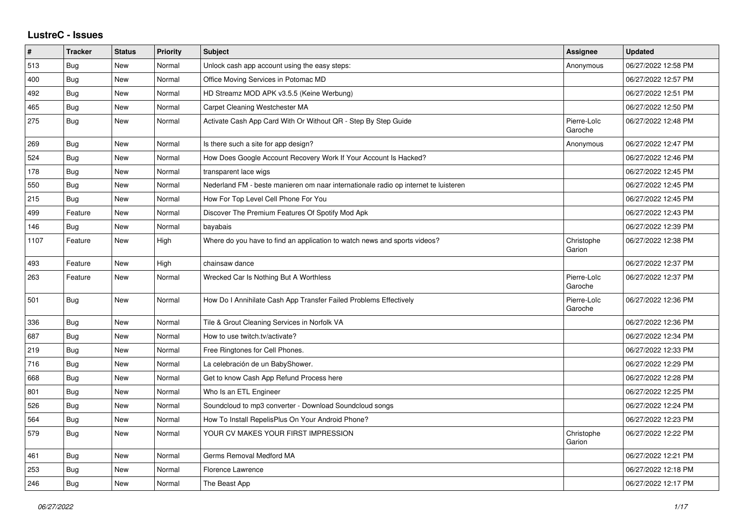## **LustreC - Issues**

| $\vert$ # | <b>Tracker</b> | <b>Status</b> | <b>Priority</b> | <b>Subject</b>                                                                      | <b>Assignee</b>        | <b>Updated</b>      |
|-----------|----------------|---------------|-----------------|-------------------------------------------------------------------------------------|------------------------|---------------------|
| 513       | <b>Bug</b>     | <b>New</b>    | Normal          | Unlock cash app account using the easy steps:                                       | Anonymous              | 06/27/2022 12:58 PM |
| 400       | <b>Bug</b>     | <b>New</b>    | Normal          | Office Moving Services in Potomac MD                                                |                        | 06/27/2022 12:57 PM |
| 492       | Bug            | New           | Normal          | HD Streamz MOD APK v3.5.5 (Keine Werbung)                                           |                        | 06/27/2022 12:51 PM |
| 465       | <b>Bug</b>     | <b>New</b>    | Normal          | Carpet Cleaning Westchester MA                                                      |                        | 06/27/2022 12:50 PM |
| 275       | Bug            | <b>New</b>    | Normal          | Activate Cash App Card With Or Without QR - Step By Step Guide                      | Pierre-Loïc<br>Garoche | 06/27/2022 12:48 PM |
| 269       | Bug            | New           | Normal          | Is there such a site for app design?                                                | Anonymous              | 06/27/2022 12:47 PM |
| 524       | Bug            | New           | Normal          | How Does Google Account Recovery Work If Your Account Is Hacked?                    |                        | 06/27/2022 12:46 PM |
| 178       | Bug            | New           | Normal          | transparent lace wigs                                                               |                        | 06/27/2022 12:45 PM |
| 550       | <b>Bug</b>     | <b>New</b>    | Normal          | Nederland FM - beste manieren om naar internationale radio op internet te luisteren |                        | 06/27/2022 12:45 PM |
| 215       | Bug            | <b>New</b>    | Normal          | How For Top Level Cell Phone For You                                                |                        | 06/27/2022 12:45 PM |
| 499       | Feature        | <b>New</b>    | Normal          | Discover The Premium Features Of Spotify Mod Apk                                    |                        | 06/27/2022 12:43 PM |
| 146       | <b>Bug</b>     | New           | Normal          | bayabais                                                                            |                        | 06/27/2022 12:39 PM |
| 1107      | Feature        | New           | High            | Where do you have to find an application to watch news and sports videos?           | Christophe<br>Garion   | 06/27/2022 12:38 PM |
| 493       | Feature        | <b>New</b>    | High            | chainsaw dance                                                                      |                        | 06/27/2022 12:37 PM |
| 263       | Feature        | New           | Normal          | Wrecked Car Is Nothing But A Worthless                                              | Pierre-Loïc<br>Garoche | 06/27/2022 12:37 PM |
| 501       | Bug            | <b>New</b>    | Normal          | How Do I Annihilate Cash App Transfer Failed Problems Effectively                   | Pierre-Loïc<br>Garoche | 06/27/2022 12:36 PM |
| 336       | Bug            | <b>New</b>    | Normal          | Tile & Grout Cleaning Services in Norfolk VA                                        |                        | 06/27/2022 12:36 PM |
| 687       | Bug            | <b>New</b>    | Normal          | How to use twitch.tv/activate?                                                      |                        | 06/27/2022 12:34 PM |
| 219       | Bug            | <b>New</b>    | Normal          | Free Ringtones for Cell Phones.                                                     |                        | 06/27/2022 12:33 PM |
| 716       | <b>Bug</b>     | <b>New</b>    | Normal          | La celebración de un BabyShower.                                                    |                        | 06/27/2022 12:29 PM |
| 668       | Bug            | New           | Normal          | Get to know Cash App Refund Process here                                            |                        | 06/27/2022 12:28 PM |
| 801       | <b>Bug</b>     | New           | Normal          | Who Is an ETL Engineer                                                              |                        | 06/27/2022 12:25 PM |
| 526       | <b>Bug</b>     | New           | Normal          | Soundcloud to mp3 converter - Download Soundcloud songs                             |                        | 06/27/2022 12:24 PM |
| 564       | <b>Bug</b>     | New           | Normal          | How To Install RepelisPlus On Your Android Phone?                                   |                        | 06/27/2022 12:23 PM |
| 579       | <b>Bug</b>     | <b>New</b>    | Normal          | YOUR CV MAKES YOUR FIRST IMPRESSION                                                 | Christophe<br>Garion   | 06/27/2022 12:22 PM |
| 461       | <b>Bug</b>     | <b>New</b>    | Normal          | Germs Removal Medford MA                                                            |                        | 06/27/2022 12:21 PM |
| 253       | <b>Bug</b>     | <b>New</b>    | Normal          | Florence Lawrence                                                                   |                        | 06/27/2022 12:18 PM |
| 246       | <b>Bug</b>     | <b>New</b>    | Normal          | The Beast App                                                                       |                        | 06/27/2022 12:17 PM |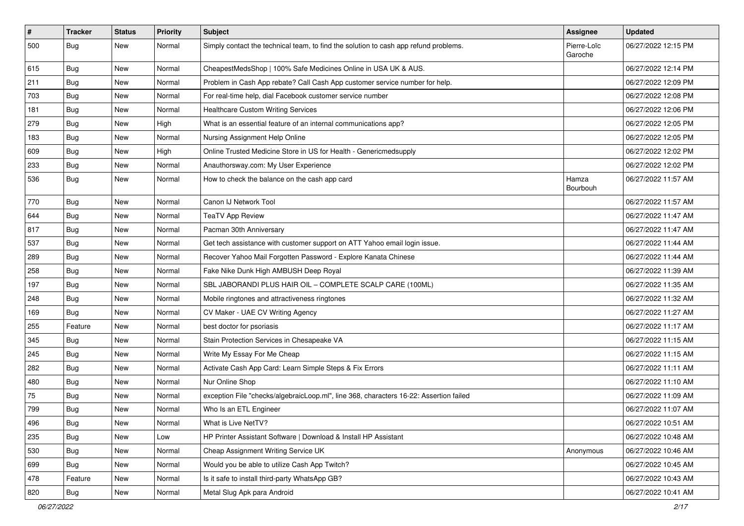| $\vert$ # | <b>Tracker</b> | <b>Status</b> | <b>Priority</b> | <b>Subject</b>                                                                         | <b>Assignee</b>        | <b>Updated</b>      |
|-----------|----------------|---------------|-----------------|----------------------------------------------------------------------------------------|------------------------|---------------------|
| 500       | <b>Bug</b>     | New           | Normal          | Simply contact the technical team, to find the solution to cash app refund problems.   | Pierre-Loïc<br>Garoche | 06/27/2022 12:15 PM |
| 615       | Bug            | New           | Normal          | CheapestMedsShop   100% Safe Medicines Online in USA UK & AUS.                         |                        | 06/27/2022 12:14 PM |
| 211       | <b>Bug</b>     | New           | Normal          | Problem in Cash App rebate? Call Cash App customer service number for help.            |                        | 06/27/2022 12:09 PM |
| 703       | <b>Bug</b>     | New           | Normal          | For real-time help, dial Facebook customer service number                              |                        | 06/27/2022 12:08 PM |
| 181       | Bug            | New           | Normal          | <b>Healthcare Custom Writing Services</b>                                              |                        | 06/27/2022 12:06 PM |
| 279       | <b>Bug</b>     | New           | High            | What is an essential feature of an internal communications app?                        |                        | 06/27/2022 12:05 PM |
| 183       | Bug            | New           | Normal          | Nursing Assignment Help Online                                                         |                        | 06/27/2022 12:05 PM |
| 609       | Bug            | New           | High            | Online Trusted Medicine Store in US for Health - Genericmedsupply                      |                        | 06/27/2022 12:02 PM |
| 233       | Bug            | New           | Normal          | Anauthorsway.com: My User Experience                                                   |                        | 06/27/2022 12:02 PM |
| 536       | Bug            | New           | Normal          | How to check the balance on the cash app card                                          | Hamza<br>Bourbouh      | 06/27/2022 11:57 AM |
| 770       | Bug            | New           | Normal          | Canon IJ Network Tool                                                                  |                        | 06/27/2022 11:57 AM |
| 644       | Bug            | New           | Normal          | <b>TeaTV App Review</b>                                                                |                        | 06/27/2022 11:47 AM |
| 817       | Bug            | New           | Normal          | Pacman 30th Anniversary                                                                |                        | 06/27/2022 11:47 AM |
| 537       | Bug            | New           | Normal          | Get tech assistance with customer support on ATT Yahoo email login issue.              |                        | 06/27/2022 11:44 AM |
| 289       | <b>Bug</b>     | New           | Normal          | Recover Yahoo Mail Forgotten Password - Explore Kanata Chinese                         |                        | 06/27/2022 11:44 AM |
| 258       | <b>Bug</b>     | New           | Normal          | Fake Nike Dunk High AMBUSH Deep Royal                                                  |                        | 06/27/2022 11:39 AM |
| 197       | <b>Bug</b>     | New           | Normal          | SBL JABORANDI PLUS HAIR OIL - COMPLETE SCALP CARE (100ML)                              |                        | 06/27/2022 11:35 AM |
| 248       | <b>Bug</b>     | New           | Normal          | Mobile ringtones and attractiveness ringtones                                          |                        | 06/27/2022 11:32 AM |
| 169       | Bug            | New           | Normal          | CV Maker - UAE CV Writing Agency                                                       |                        | 06/27/2022 11:27 AM |
| 255       | Feature        | New           | Normal          | best doctor for psoriasis                                                              |                        | 06/27/2022 11:17 AM |
| 345       | <b>Bug</b>     | New           | Normal          | Stain Protection Services in Chesapeake VA                                             |                        | 06/27/2022 11:15 AM |
| 245       | <b>Bug</b>     | New           | Normal          | Write My Essay For Me Cheap                                                            |                        | 06/27/2022 11:15 AM |
| 282       | <b>Bug</b>     | New           | Normal          | Activate Cash App Card: Learn Simple Steps & Fix Errors                                |                        | 06/27/2022 11:11 AM |
| 480       | Bug            | New           | Normal          | Nur Online Shop                                                                        |                        | 06/27/2022 11:10 AM |
| 75        | <b>Bug</b>     | New           | Normal          | exception File "checks/algebraicLoop.ml", line 368, characters 16-22: Assertion failed |                        | 06/27/2022 11:09 AM |
| 799       | <b>Bug</b>     | New           | Normal          | Who Is an ETL Engineer                                                                 |                        | 06/27/2022 11:07 AM |
| 496       | Bug            | New           | Normal          | What is Live NetTV?                                                                    |                        | 06/27/2022 10:51 AM |
| 235       | Bug            | New           | Low             | HP Printer Assistant Software   Download & Install HP Assistant                        |                        | 06/27/2022 10:48 AM |
| 530       | Bug            | New           | Normal          | Cheap Assignment Writing Service UK                                                    | Anonymous              | 06/27/2022 10:46 AM |
| 699       | Bug            | New           | Normal          | Would you be able to utilize Cash App Twitch?                                          |                        | 06/27/2022 10:45 AM |
| 478       | Feature        | New           | Normal          | Is it safe to install third-party WhatsApp GB?                                         |                        | 06/27/2022 10:43 AM |
| 820       | Bug            | New           | Normal          | Metal Slug Apk para Android                                                            |                        | 06/27/2022 10:41 AM |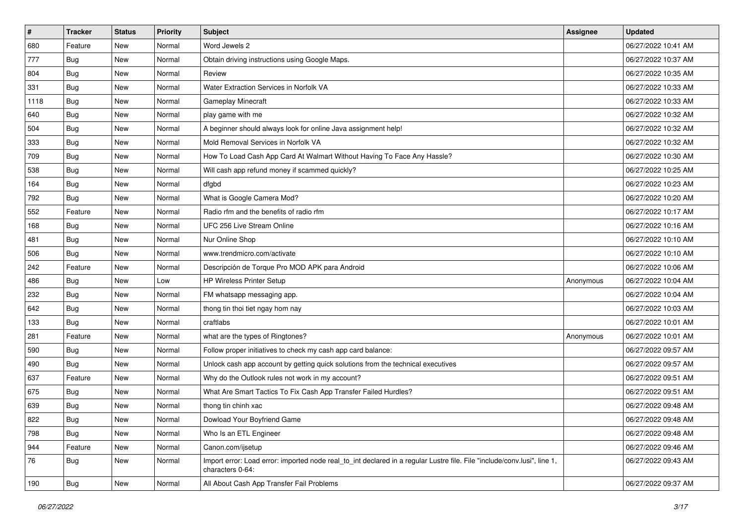| $\vert$ # | <b>Tracker</b> | <b>Status</b> | <b>Priority</b> | <b>Subject</b>                                                                                                                               | <b>Assignee</b> | <b>Updated</b>      |
|-----------|----------------|---------------|-----------------|----------------------------------------------------------------------------------------------------------------------------------------------|-----------------|---------------------|
| 680       | Feature        | New           | Normal          | Word Jewels 2                                                                                                                                |                 | 06/27/2022 10:41 AM |
| 777       | <b>Bug</b>     | New           | Normal          | Obtain driving instructions using Google Maps.                                                                                               |                 | 06/27/2022 10:37 AM |
| 804       | <b>Bug</b>     | New           | Normal          | Review                                                                                                                                       |                 | 06/27/2022 10:35 AM |
| 331       | <b>Bug</b>     | New           | Normal          | Water Extraction Services in Norfolk VA                                                                                                      |                 | 06/27/2022 10:33 AM |
| 1118      | Bug            | New           | Normal          | Gameplay Minecraft                                                                                                                           |                 | 06/27/2022 10:33 AM |
| 640       | Bug            | New           | Normal          | play game with me                                                                                                                            |                 | 06/27/2022 10:32 AM |
| 504       | <b>Bug</b>     | New           | Normal          | A beginner should always look for online Java assignment help!                                                                               |                 | 06/27/2022 10:32 AM |
| 333       | <b>Bug</b>     | New           | Normal          | Mold Removal Services in Norfolk VA                                                                                                          |                 | 06/27/2022 10:32 AM |
| 709       | Bug            | New           | Normal          | How To Load Cash App Card At Walmart Without Having To Face Any Hassle?                                                                      |                 | 06/27/2022 10:30 AM |
| 538       | Bug            | New           | Normal          | Will cash app refund money if scammed quickly?                                                                                               |                 | 06/27/2022 10:25 AM |
| 164       | Bug            | New           | Normal          | dfgbd                                                                                                                                        |                 | 06/27/2022 10:23 AM |
| 792       | <b>Bug</b>     | New           | Normal          | What is Google Camera Mod?                                                                                                                   |                 | 06/27/2022 10:20 AM |
| 552       | Feature        | New           | Normal          | Radio rfm and the benefits of radio rfm                                                                                                      |                 | 06/27/2022 10:17 AM |
| 168       | <b>Bug</b>     | New           | Normal          | UFC 256 Live Stream Online                                                                                                                   |                 | 06/27/2022 10:16 AM |
| 481       | Bug            | New           | Normal          | Nur Online Shop                                                                                                                              |                 | 06/27/2022 10:10 AM |
| 506       | <b>Bug</b>     | New           | Normal          | www.trendmicro.com/activate                                                                                                                  |                 | 06/27/2022 10:10 AM |
| 242       | Feature        | New           | Normal          | Descripción de Torque Pro MOD APK para Android                                                                                               |                 | 06/27/2022 10:06 AM |
| 486       | Bug            | New           | Low             | <b>HP Wireless Printer Setup</b>                                                                                                             | Anonymous       | 06/27/2022 10:04 AM |
| 232       | Bug            | New           | Normal          | FM whatsapp messaging app.                                                                                                                   |                 | 06/27/2022 10:04 AM |
| 642       | <b>Bug</b>     | New           | Normal          | thong tin thoi tiet ngay hom nay                                                                                                             |                 | 06/27/2022 10:03 AM |
| 133       | Bug            | New           | Normal          | craftlabs                                                                                                                                    |                 | 06/27/2022 10:01 AM |
| 281       | Feature        | New           | Normal          | what are the types of Ringtones?                                                                                                             | Anonymous       | 06/27/2022 10:01 AM |
| 590       | Bug            | New           | Normal          | Follow proper initiatives to check my cash app card balance:                                                                                 |                 | 06/27/2022 09:57 AM |
| 490       | <b>Bug</b>     | New           | Normal          | Unlock cash app account by getting quick solutions from the technical executives                                                             |                 | 06/27/2022 09:57 AM |
| 637       | Feature        | New           | Normal          | Why do the Outlook rules not work in my account?                                                                                             |                 | 06/27/2022 09:51 AM |
| 675       | Bug            | New           | Normal          | What Are Smart Tactics To Fix Cash App Transfer Failed Hurdles?                                                                              |                 | 06/27/2022 09:51 AM |
| 639       | <b>Bug</b>     | New           | Normal          | thong tin chinh xac                                                                                                                          |                 | 06/27/2022 09:48 AM |
| 822       | <b>Bug</b>     | New           | Normal          | Dowload Your Boyfriend Game                                                                                                                  |                 | 06/27/2022 09:48 AM |
| 798       | Bug            | New           | Normal          | Who Is an ETL Engineer                                                                                                                       |                 | 06/27/2022 09:48 AM |
| 944       | Feature        | New           | Normal          | Canon.com/ijsetup                                                                                                                            |                 | 06/27/2022 09:46 AM |
| 76        | <b>Bug</b>     | New           | Normal          | Import error: Load error: imported node real_to_int declared in a regular Lustre file. File "include/conv.lusi", line 1,<br>characters 0-64: |                 | 06/27/2022 09:43 AM |
| 190       | <b>Bug</b>     | New           | Normal          | All About Cash App Transfer Fail Problems                                                                                                    |                 | 06/27/2022 09:37 AM |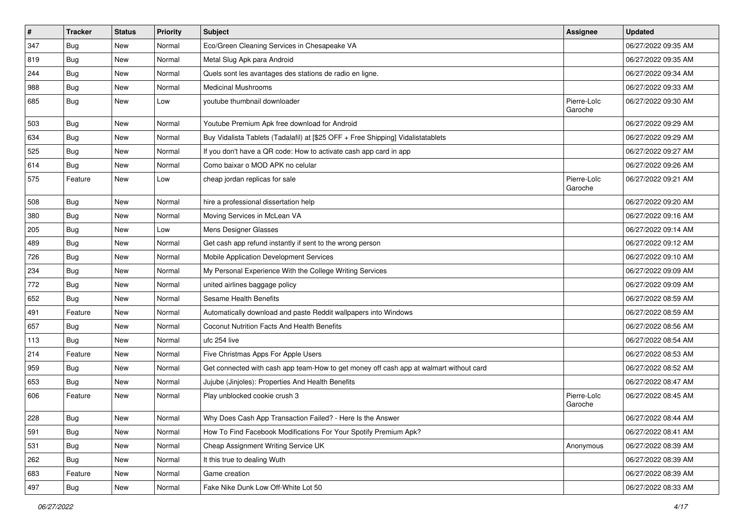| $\vert$ # | <b>Tracker</b> | <b>Status</b> | <b>Priority</b> | Subject                                                                                | <b>Assignee</b>        | <b>Updated</b>      |
|-----------|----------------|---------------|-----------------|----------------------------------------------------------------------------------------|------------------------|---------------------|
| 347       | Bug            | New           | Normal          | Eco/Green Cleaning Services in Chesapeake VA                                           |                        | 06/27/2022 09:35 AM |
| 819       | Bug            | New           | Normal          | Metal Slug Apk para Android                                                            |                        | 06/27/2022 09:35 AM |
| 244       | <b>Bug</b>     | New           | Normal          | Quels sont les avantages des stations de radio en ligne.                               |                        | 06/27/2022 09:34 AM |
| 988       | <b>Bug</b>     | New           | Normal          | <b>Medicinal Mushrooms</b>                                                             |                        | 06/27/2022 09:33 AM |
| 685       | Bug            | New           | Low             | youtube thumbnail downloader                                                           | Pierre-Loïc<br>Garoche | 06/27/2022 09:30 AM |
| 503       | <b>Bug</b>     | New           | Normal          | Youtube Premium Apk free download for Android                                          |                        | 06/27/2022 09:29 AM |
| 634       | Bug            | New           | Normal          | Buy Vidalista Tablets (Tadalafil) at [\$25 OFF + Free Shipping] Vidalistatablets       |                        | 06/27/2022 09:29 AM |
| 525       | <b>Bug</b>     | New           | Normal          | If you don't have a QR code: How to activate cash app card in app                      |                        | 06/27/2022 09:27 AM |
| 614       | Bug            | New           | Normal          | Como baixar o MOD APK no celular                                                       |                        | 06/27/2022 09:26 AM |
| 575       | Feature        | New           | Low             | cheap jordan replicas for sale                                                         | Pierre-Loïc<br>Garoche | 06/27/2022 09:21 AM |
| 508       | Bug            | New           | Normal          | hire a professional dissertation help                                                  |                        | 06/27/2022 09:20 AM |
| 380       | Bug            | New           | Normal          | Moving Services in McLean VA                                                           |                        | 06/27/2022 09:16 AM |
| 205       | <b>Bug</b>     | New           | Low             | Mens Designer Glasses                                                                  |                        | 06/27/2022 09:14 AM |
| 489       | Bug            | New           | Normal          | Get cash app refund instantly if sent to the wrong person                              |                        | 06/27/2022 09:12 AM |
| 726       | <b>Bug</b>     | New           | Normal          | Mobile Application Development Services                                                |                        | 06/27/2022 09:10 AM |
| 234       | Bug            | New           | Normal          | My Personal Experience With the College Writing Services                               |                        | 06/27/2022 09:09 AM |
| 772       | <b>Bug</b>     | New           | Normal          | united airlines baggage policy                                                         |                        | 06/27/2022 09:09 AM |
| 652       | Bug            | New           | Normal          | Sesame Health Benefits                                                                 |                        | 06/27/2022 08:59 AM |
| 491       | Feature        | New           | Normal          | Automatically download and paste Reddit wallpapers into Windows                        |                        | 06/27/2022 08:59 AM |
| 657       | <b>Bug</b>     | New           | Normal          | Coconut Nutrition Facts And Health Benefits                                            |                        | 06/27/2022 08:56 AM |
| 113       | <b>Bug</b>     | New           | Normal          | ufc 254 live                                                                           |                        | 06/27/2022 08:54 AM |
| 214       | Feature        | New           | Normal          | Five Christmas Apps For Apple Users                                                    |                        | 06/27/2022 08:53 AM |
| 959       | <b>Bug</b>     | New           | Normal          | Get connected with cash app team-How to get money off cash app at walmart without card |                        | 06/27/2022 08:52 AM |
| 653       | <b>Bug</b>     | New           | Normal          | Jujube (Jinjoles): Properties And Health Benefits                                      |                        | 06/27/2022 08:47 AM |
| 606       | Feature        | New           | Normal          | Play unblocked cookie crush 3                                                          | Pierre-Loïc<br>Garoche | 06/27/2022 08:45 AM |
| 228       | Bug            | New           | Normal          | Why Does Cash App Transaction Failed? - Here Is the Answer                             |                        | 06/27/2022 08:44 AM |
| 591       | <b>Bug</b>     | New           | Normal          | How To Find Facebook Modifications For Your Spotify Premium Apk?                       |                        | 06/27/2022 08:41 AM |
| 531       | <b>Bug</b>     | New           | Normal          | Cheap Assignment Writing Service UK                                                    | Anonymous              | 06/27/2022 08:39 AM |
| 262       | <b>Bug</b>     | New           | Normal          | It this true to dealing Wuth                                                           |                        | 06/27/2022 08:39 AM |
| 683       | Feature        | New           | Normal          | Game creation                                                                          |                        | 06/27/2022 08:39 AM |
| 497       | Bug            | New           | Normal          | Fake Nike Dunk Low Off-White Lot 50                                                    |                        | 06/27/2022 08:33 AM |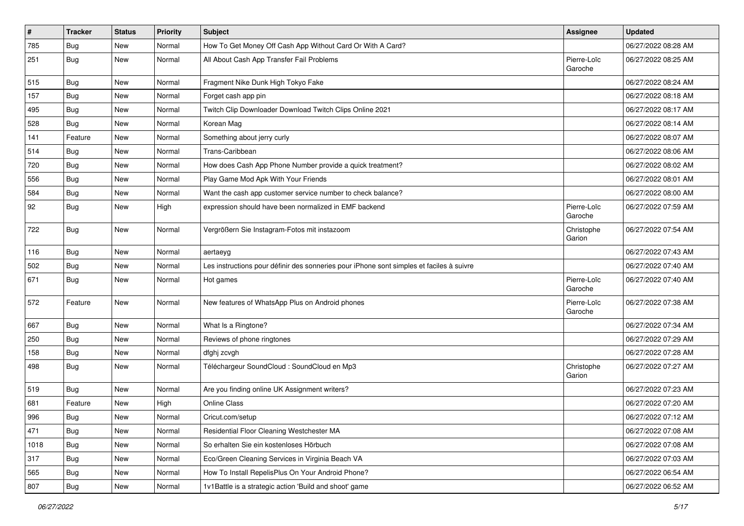| $\vert$ # | <b>Tracker</b> | <b>Status</b> | Priority | <b>Subject</b>                                                                           | Assignee               | <b>Updated</b>      |
|-----------|----------------|---------------|----------|------------------------------------------------------------------------------------------|------------------------|---------------------|
| 785       | <b>Bug</b>     | New           | Normal   | How To Get Money Off Cash App Without Card Or With A Card?                               |                        | 06/27/2022 08:28 AM |
| 251       | <b>Bug</b>     | New           | Normal   | All About Cash App Transfer Fail Problems                                                | Pierre-Loïc<br>Garoche | 06/27/2022 08:25 AM |
| 515       | <b>Bug</b>     | New           | Normal   | Fragment Nike Dunk High Tokyo Fake                                                       |                        | 06/27/2022 08:24 AM |
| 157       | <b>Bug</b>     | New           | Normal   | Forget cash app pin                                                                      |                        | 06/27/2022 08:18 AM |
| 495       | <b>Bug</b>     | New           | Normal   | Twitch Clip Downloader Download Twitch Clips Online 2021                                 |                        | 06/27/2022 08:17 AM |
| 528       | <b>Bug</b>     | New           | Normal   | Korean Mag                                                                               |                        | 06/27/2022 08:14 AM |
| 141       | Feature        | New           | Normal   | Something about jerry curly                                                              |                        | 06/27/2022 08:07 AM |
| 514       | <b>Bug</b>     | New           | Normal   | Trans-Caribbean                                                                          |                        | 06/27/2022 08:06 AM |
| 720       | Bug            | New           | Normal   | How does Cash App Phone Number provide a quick treatment?                                |                        | 06/27/2022 08:02 AM |
| 556       | Bug            | New           | Normal   | Play Game Mod Apk With Your Friends                                                      |                        | 06/27/2022 08:01 AM |
| 584       | <b>Bug</b>     | New           | Normal   | Want the cash app customer service number to check balance?                              |                        | 06/27/2022 08:00 AM |
| 92        | Bug            | New           | High     | expression should have been normalized in EMF backend                                    | Pierre-Loïc<br>Garoche | 06/27/2022 07:59 AM |
| 722       | <b>Bug</b>     | New           | Normal   | Vergrößern Sie Instagram-Fotos mit instazoom                                             | Christophe<br>Garion   | 06/27/2022 07:54 AM |
| 116       | Bug            | New           | Normal   | aertaeyg                                                                                 |                        | 06/27/2022 07:43 AM |
| 502       | Bug            | New           | Normal   | Les instructions pour définir des sonneries pour iPhone sont simples et faciles à suivre |                        | 06/27/2022 07:40 AM |
| 671       | Bug            | New           | Normal   | Hot games                                                                                | Pierre-Loïc<br>Garoche | 06/27/2022 07:40 AM |
| 572       | Feature        | New           | Normal   | New features of WhatsApp Plus on Android phones                                          | Pierre-Loïc<br>Garoche | 06/27/2022 07:38 AM |
| 667       | <b>Bug</b>     | New           | Normal   | What Is a Ringtone?                                                                      |                        | 06/27/2022 07:34 AM |
| 250       | Bug            | New           | Normal   | Reviews of phone ringtones                                                               |                        | 06/27/2022 07:29 AM |
| 158       | <b>Bug</b>     | New           | Normal   | dfghj zcvgh                                                                              |                        | 06/27/2022 07:28 AM |
| 498       | Bug            | New           | Normal   | Téléchargeur SoundCloud : SoundCloud en Mp3                                              | Christophe<br>Garion   | 06/27/2022 07:27 AM |
| 519       | <b>Bug</b>     | New           | Normal   | Are you finding online UK Assignment writers?                                            |                        | 06/27/2022 07:23 AM |
| 681       | Feature        | New           | High     | <b>Online Class</b>                                                                      |                        | 06/27/2022 07:20 AM |
| 996       | Bug            | New           | Normal   | Cricut.com/setup                                                                         |                        | 06/27/2022 07:12 AM |
| 471       | Bug            | New           | Normal   | Residential Floor Cleaning Westchester MA                                                |                        | 06/27/2022 07:08 AM |
| 1018      | Bug            | New           | Normal   | So erhalten Sie ein kostenloses Hörbuch                                                  |                        | 06/27/2022 07:08 AM |
| 317       | Bug            | New           | Normal   | Eco/Green Cleaning Services in Virginia Beach VA                                         |                        | 06/27/2022 07:03 AM |
| 565       | <b>Bug</b>     | New           | Normal   | How To Install RepelisPlus On Your Android Phone?                                        |                        | 06/27/2022 06:54 AM |
| 807       | <b>Bug</b>     | New           | Normal   | 1v1Battle is a strategic action 'Build and shoot' game                                   |                        | 06/27/2022 06:52 AM |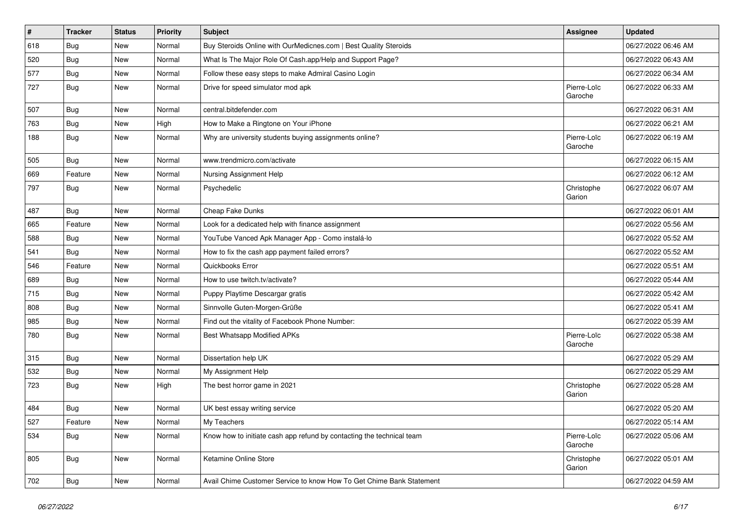| $\sharp$ | <b>Tracker</b> | <b>Status</b> | Priority | <b>Subject</b>                                                        | <b>Assignee</b>        | <b>Updated</b>      |
|----------|----------------|---------------|----------|-----------------------------------------------------------------------|------------------------|---------------------|
| 618      | <b>Bug</b>     | New           | Normal   | Buy Steroids Online with OurMedicnes.com   Best Quality Steroids      |                        | 06/27/2022 06:46 AM |
| 520      | <b>Bug</b>     | <b>New</b>    | Normal   | What Is The Major Role Of Cash.app/Help and Support Page?             |                        | 06/27/2022 06:43 AM |
| 577      | <b>Bug</b>     | New           | Normal   | Follow these easy steps to make Admiral Casino Login                  |                        | 06/27/2022 06:34 AM |
| 727      | Bug            | New           | Normal   | Drive for speed simulator mod apk                                     | Pierre-Loïc<br>Garoche | 06/27/2022 06:33 AM |
| 507      | <b>Bug</b>     | New           | Normal   | central.bitdefender.com                                               |                        | 06/27/2022 06:31 AM |
| 763      | <b>Bug</b>     | New           | High     | How to Make a Ringtone on Your iPhone                                 |                        | 06/27/2022 06:21 AM |
| 188      | Bug            | New           | Normal   | Why are university students buying assignments online?                | Pierre-Loïc<br>Garoche | 06/27/2022 06:19 AM |
| 505      | <b>Bug</b>     | <b>New</b>    | Normal   | www.trendmicro.com/activate                                           |                        | 06/27/2022 06:15 AM |
| 669      | Feature        | New           | Normal   | Nursing Assignment Help                                               |                        | 06/27/2022 06:12 AM |
| 797      | Bug            | New           | Normal   | Psychedelic                                                           | Christophe<br>Garion   | 06/27/2022 06:07 AM |
| 487      | <b>Bug</b>     | New           | Normal   | Cheap Fake Dunks                                                      |                        | 06/27/2022 06:01 AM |
| 665      | Feature        | New           | Normal   | Look for a dedicated help with finance assignment                     |                        | 06/27/2022 05:56 AM |
| 588      | Bug            | New           | Normal   | YouTube Vanced Apk Manager App - Como instalá-lo                      |                        | 06/27/2022 05:52 AM |
| 541      | <b>Bug</b>     | New           | Normal   | How to fix the cash app payment failed errors?                        |                        | 06/27/2022 05:52 AM |
| 546      | Feature        | New           | Normal   | Quickbooks Error                                                      |                        | 06/27/2022 05:51 AM |
| 689      | <b>Bug</b>     | New           | Normal   | How to use twitch.tv/activate?                                        |                        | 06/27/2022 05:44 AM |
| 715      | <b>Bug</b>     | New           | Normal   | Puppy Playtime Descargar gratis                                       |                        | 06/27/2022 05:42 AM |
| 808      | Bug            | New           | Normal   | Sinnvolle Guten-Morgen-Grüße                                          |                        | 06/27/2022 05:41 AM |
| 985      | <b>Bug</b>     | New           | Normal   | Find out the vitality of Facebook Phone Number:                       |                        | 06/27/2022 05:39 AM |
| 780      | <b>Bug</b>     | New           | Normal   | <b>Best Whatsapp Modified APKs</b>                                    | Pierre-Loïc<br>Garoche | 06/27/2022 05:38 AM |
| 315      | <b>Bug</b>     | New           | Normal   | Dissertation help UK                                                  |                        | 06/27/2022 05:29 AM |
| 532      | Bug            | New           | Normal   | My Assignment Help                                                    |                        | 06/27/2022 05:29 AM |
| 723      | <b>Bug</b>     | New           | High     | The best horror game in 2021                                          | Christophe<br>Garion   | 06/27/2022 05:28 AM |
| 484      | <b>Bug</b>     | New           | Normal   | UK best essay writing service                                         |                        | 06/27/2022 05:20 AM |
| 527      | Feature        | New           | Normal   | My Teachers                                                           |                        | 06/27/2022 05:14 AM |
| 534      | Bug            | New           | Normal   | Know how to initiate cash app refund by contacting the technical team | Pierre-Loïc<br>Garoche | 06/27/2022 05:06 AM |
| 805      | Bug            | New           | Normal   | Ketamine Online Store                                                 | Christophe<br>Garion   | 06/27/2022 05:01 AM |
| 702      | <b>Bug</b>     | New           | Normal   | Avail Chime Customer Service to know How To Get Chime Bank Statement  |                        | 06/27/2022 04:59 AM |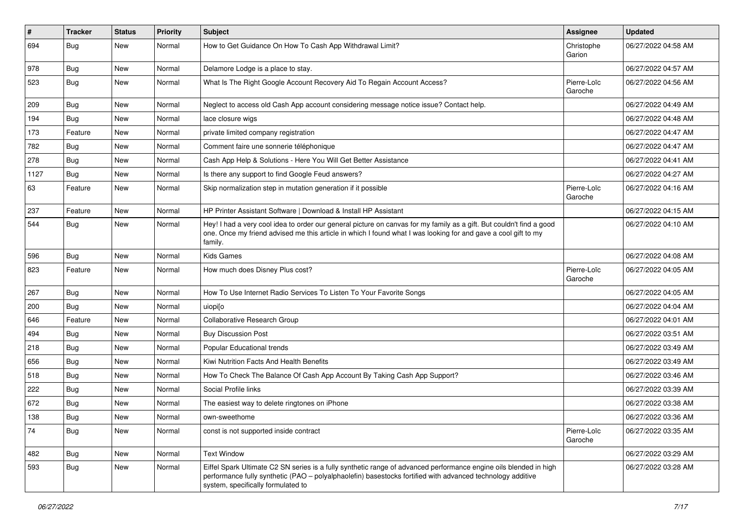| #    | <b>Tracker</b> | <b>Status</b> | <b>Priority</b> | <b>Subject</b>                                                                                                                                                                                                                                                        | Assignee               | <b>Updated</b>      |
|------|----------------|---------------|-----------------|-----------------------------------------------------------------------------------------------------------------------------------------------------------------------------------------------------------------------------------------------------------------------|------------------------|---------------------|
| 694  | <b>Bug</b>     | New           | Normal          | How to Get Guidance On How To Cash App Withdrawal Limit?                                                                                                                                                                                                              | Christophe<br>Garion   | 06/27/2022 04:58 AM |
| 978  | Bug            | New           | Normal          | Delamore Lodge is a place to stay.                                                                                                                                                                                                                                    |                        | 06/27/2022 04:57 AM |
| 523  | Bug            | New           | Normal          | What Is The Right Google Account Recovery Aid To Regain Account Access?                                                                                                                                                                                               | Pierre-Loïc<br>Garoche | 06/27/2022 04:56 AM |
| 209  | Bug            | New           | Normal          | Neglect to access old Cash App account considering message notice issue? Contact help.                                                                                                                                                                                |                        | 06/27/2022 04:49 AM |
| 194  | <b>Bug</b>     | New           | Normal          | lace closure wigs                                                                                                                                                                                                                                                     |                        | 06/27/2022 04:48 AM |
| 173  | Feature        | New           | Normal          | private limited company registration                                                                                                                                                                                                                                  |                        | 06/27/2022 04:47 AM |
| 782  | Bug            | New           | Normal          | Comment faire une sonnerie téléphonique                                                                                                                                                                                                                               |                        | 06/27/2022 04:47 AM |
| 278  | Bug            | New           | Normal          | Cash App Help & Solutions - Here You Will Get Better Assistance                                                                                                                                                                                                       |                        | 06/27/2022 04:41 AM |
| 1127 | <b>Bug</b>     | New           | Normal          | Is there any support to find Google Feud answers?                                                                                                                                                                                                                     |                        | 06/27/2022 04:27 AM |
| 63   | Feature        | New           | Normal          | Skip normalization step in mutation generation if it possible                                                                                                                                                                                                         | Pierre-Loïc<br>Garoche | 06/27/2022 04:16 AM |
| 237  | Feature        | New           | Normal          | HP Printer Assistant Software   Download & Install HP Assistant                                                                                                                                                                                                       |                        | 06/27/2022 04:15 AM |
| 544  | <b>Bug</b>     | New           | Normal          | Hey! I had a very cool idea to order our general picture on canvas for my family as a gift. But couldn't find a good<br>one. Once my friend advised me this article in which I found what I was looking for and gave a cool gift to my<br>family.                     |                        | 06/27/2022 04:10 AM |
| 596  | Bug            | <b>New</b>    | Normal          | <b>Kids Games</b>                                                                                                                                                                                                                                                     |                        | 06/27/2022 04:08 AM |
| 823  | Feature        | New           | Normal          | How much does Disney Plus cost?                                                                                                                                                                                                                                       | Pierre-Loïc<br>Garoche | 06/27/2022 04:05 AM |
| 267  | Bug            | New           | Normal          | How To Use Internet Radio Services To Listen To Your Favorite Songs                                                                                                                                                                                                   |                        | 06/27/2022 04:05 AM |
| 200  | Bug            | New           | Normal          | uiopi[o                                                                                                                                                                                                                                                               |                        | 06/27/2022 04:04 AM |
| 646  | Feature        | New           | Normal          | <b>Collaborative Research Group</b>                                                                                                                                                                                                                                   |                        | 06/27/2022 04:01 AM |
| 494  | Bug            | New           | Normal          | <b>Buy Discussion Post</b>                                                                                                                                                                                                                                            |                        | 06/27/2022 03:51 AM |
| 218  | <b>Bug</b>     | New           | Normal          | Popular Educational trends                                                                                                                                                                                                                                            |                        | 06/27/2022 03:49 AM |
| 656  | <b>Bug</b>     | New           | Normal          | Kiwi Nutrition Facts And Health Benefits                                                                                                                                                                                                                              |                        | 06/27/2022 03:49 AM |
| 518  | <b>Bug</b>     | New           | Normal          | How To Check The Balance Of Cash App Account By Taking Cash App Support?                                                                                                                                                                                              |                        | 06/27/2022 03:46 AM |
| 222  | Bug            | New           | Normal          | Social Profile links                                                                                                                                                                                                                                                  |                        | 06/27/2022 03:39 AM |
| 672  | <b>Bug</b>     | New           | Normal          | The easiest way to delete ringtones on iPhone                                                                                                                                                                                                                         |                        | 06/27/2022 03:38 AM |
| 138  | <b>Bug</b>     | New           | Normal          | own-sweethome                                                                                                                                                                                                                                                         |                        | 06/27/2022 03:36 AM |
| 74   | <b>Bug</b>     | New           | Normal          | const is not supported inside contract                                                                                                                                                                                                                                | Pierre-Loïc<br>Garoche | 06/27/2022 03:35 AM |
| 482  | Bug            | New           | Normal          | <b>Text Window</b>                                                                                                                                                                                                                                                    |                        | 06/27/2022 03:29 AM |
| 593  | <b>Bug</b>     | New           | Normal          | Eiffel Spark Ultimate C2 SN series is a fully synthetic range of advanced performance engine oils blended in high<br>performance fully synthetic (PAO – polyalphaolefin) basestocks fortified with advanced technology additive<br>system, specifically formulated to |                        | 06/27/2022 03:28 AM |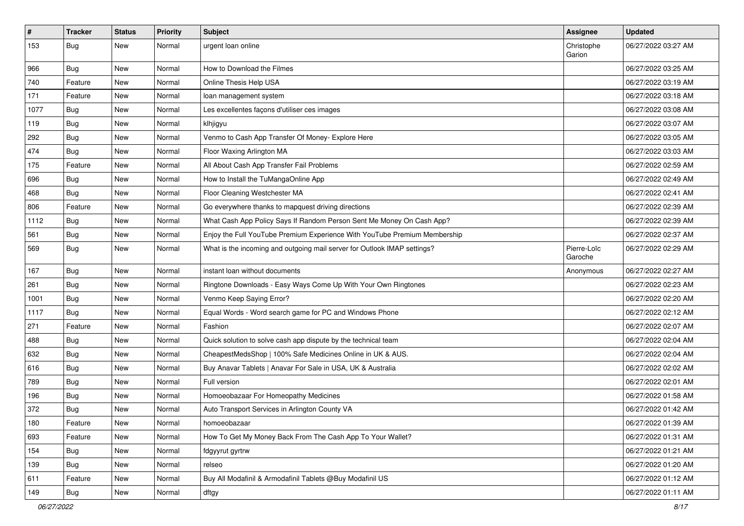| $\sharp$ | <b>Tracker</b> | <b>Status</b> | <b>Priority</b> | Subject                                                                   | Assignee               | <b>Updated</b>      |
|----------|----------------|---------------|-----------------|---------------------------------------------------------------------------|------------------------|---------------------|
| 153      | <b>Bug</b>     | New           | Normal          | urgent loan online                                                        | Christophe<br>Garion   | 06/27/2022 03:27 AM |
| 966      | <b>Bug</b>     | New           | Normal          | How to Download the Filmes                                                |                        | 06/27/2022 03:25 AM |
| 740      | Feature        | New           | Normal          | Online Thesis Help USA                                                    |                        | 06/27/2022 03:19 AM |
| 171      | Feature        | New           | Normal          | loan management system                                                    |                        | 06/27/2022 03:18 AM |
| 1077     | <b>Bug</b>     | New           | Normal          | Les excellentes façons d'utiliser ces images                              |                        | 06/27/2022 03:08 AM |
| 119      | <b>Bug</b>     | New           | Normal          | klhjigyu                                                                  |                        | 06/27/2022 03:07 AM |
| 292      | Bug            | New           | Normal          | Venmo to Cash App Transfer Of Money- Explore Here                         |                        | 06/27/2022 03:05 AM |
| 474      | <b>Bug</b>     | New           | Normal          | Floor Waxing Arlington MA                                                 |                        | 06/27/2022 03:03 AM |
| 175      | Feature        | New           | Normal          | All About Cash App Transfer Fail Problems                                 |                        | 06/27/2022 02:59 AM |
| 696      | <b>Bug</b>     | New           | Normal          | How to Install the TuMangaOnline App                                      |                        | 06/27/2022 02:49 AM |
| 468      | <b>Bug</b>     | New           | Normal          | Floor Cleaning Westchester MA                                             |                        | 06/27/2022 02:41 AM |
| 806      | Feature        | New           | Normal          | Go everywhere thanks to mapquest driving directions                       |                        | 06/27/2022 02:39 AM |
| 1112     | Bug            | New           | Normal          | What Cash App Policy Says If Random Person Sent Me Money On Cash App?     |                        | 06/27/2022 02:39 AM |
| 561      | Bug            | <b>New</b>    | Normal          | Enjoy the Full YouTube Premium Experience With YouTube Premium Membership |                        | 06/27/2022 02:37 AM |
| 569      | <b>Bug</b>     | New           | Normal          | What is the incoming and outgoing mail server for Outlook IMAP settings?  | Pierre-Loïc<br>Garoche | 06/27/2022 02:29 AM |
| 167      | Bug            | <b>New</b>    | Normal          | instant loan without documents                                            | Anonymous              | 06/27/2022 02:27 AM |
| 261      | <b>Bug</b>     | New           | Normal          | Ringtone Downloads - Easy Ways Come Up With Your Own Ringtones            |                        | 06/27/2022 02:23 AM |
| 1001     | <b>Bug</b>     | New           | Normal          | Venmo Keep Saying Error?                                                  |                        | 06/27/2022 02:20 AM |
| 1117     | <b>Bug</b>     | New           | Normal          | Equal Words - Word search game for PC and Windows Phone                   |                        | 06/27/2022 02:12 AM |
| 271      | Feature        | New           | Normal          | Fashion                                                                   |                        | 06/27/2022 02:07 AM |
| 488      | Bug            | New           | Normal          | Quick solution to solve cash app dispute by the technical team            |                        | 06/27/2022 02:04 AM |
| 632      | <b>Bug</b>     | New           | Normal          | CheapestMedsShop   100% Safe Medicines Online in UK & AUS.                |                        | 06/27/2022 02:04 AM |
| 616      | <b>Bug</b>     | New           | Normal          | Buy Anavar Tablets   Anavar For Sale in USA, UK & Australia               |                        | 06/27/2022 02:02 AM |
| 789      | Bug            | New           | Normal          | Full version                                                              |                        | 06/27/2022 02:01 AM |
| 196      | <b>Bug</b>     | New           | Normal          | Homoeobazaar For Homeopathy Medicines                                     |                        | 06/27/2022 01:58 AM |
| 372      | <b>Bug</b>     | New           | Normal          | Auto Transport Services in Arlington County VA                            |                        | 06/27/2022 01:42 AM |
| 180      | Feature        | New           | Normal          | homoeobazaar                                                              |                        | 06/27/2022 01:39 AM |
| 693      | Feature        | New           | Normal          | How To Get My Money Back From The Cash App To Your Wallet?                |                        | 06/27/2022 01:31 AM |
| 154      | Bug            | New           | Normal          | fdgyyrut gyrtrw                                                           |                        | 06/27/2022 01:21 AM |
| 139      | Bug            | New           | Normal          | relseo                                                                    |                        | 06/27/2022 01:20 AM |
| 611      | Feature        | New           | Normal          | Buy All Modafinil & Armodafinil Tablets @Buy Modafinil US                 |                        | 06/27/2022 01:12 AM |
| 149      | <b>Bug</b>     | New           | Normal          | dftgy                                                                     |                        | 06/27/2022 01:11 AM |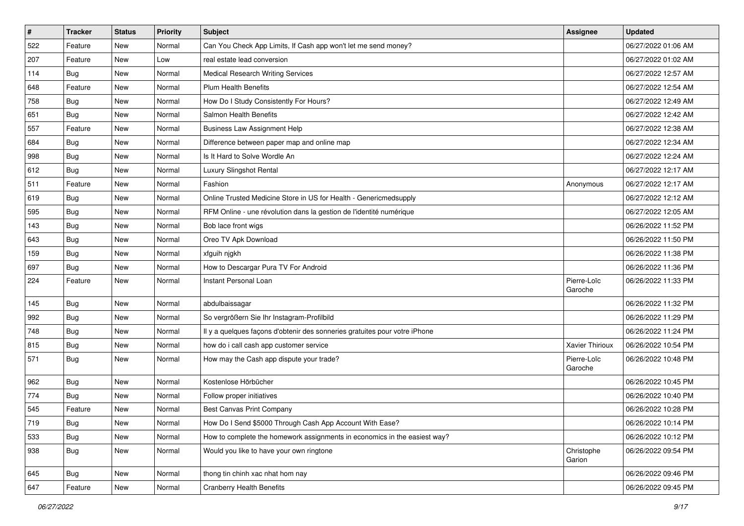| $\sharp$ | <b>Tracker</b> | <b>Status</b> | <b>Priority</b> | <b>Subject</b>                                                             | Assignee               | <b>Updated</b>      |
|----------|----------------|---------------|-----------------|----------------------------------------------------------------------------|------------------------|---------------------|
| 522      | Feature        | New           | Normal          | Can You Check App Limits, If Cash app won't let me send money?             |                        | 06/27/2022 01:06 AM |
| 207      | Feature        | <b>New</b>    | Low             | real estate lead conversion                                                |                        | 06/27/2022 01:02 AM |
| 114      | Bug            | New           | Normal          | <b>Medical Research Writing Services</b>                                   |                        | 06/27/2022 12:57 AM |
| 648      | Feature        | New           | Normal          | <b>Plum Health Benefits</b>                                                |                        | 06/27/2022 12:54 AM |
| 758      | Bug            | <b>New</b>    | Normal          | How Do I Study Consistently For Hours?                                     |                        | 06/27/2022 12:49 AM |
| 651      | Bug            | <b>New</b>    | Normal          | Salmon Health Benefits                                                     |                        | 06/27/2022 12:42 AM |
| 557      | Feature        | <b>New</b>    | Normal          | <b>Business Law Assignment Help</b>                                        |                        | 06/27/2022 12:38 AM |
| 684      | <b>Bug</b>     | New           | Normal          | Difference between paper map and online map                                |                        | 06/27/2022 12:34 AM |
| 998      | Bug            | <b>New</b>    | Normal          | Is It Hard to Solve Wordle An                                              |                        | 06/27/2022 12:24 AM |
| 612      | Bug            | <b>New</b>    | Normal          | Luxury Slingshot Rental                                                    |                        | 06/27/2022 12:17 AM |
| 511      | Feature        | New           | Normal          | Fashion                                                                    | Anonymous              | 06/27/2022 12:17 AM |
| 619      | Bug            | New           | Normal          | Online Trusted Medicine Store in US for Health - Genericmedsupply          |                        | 06/27/2022 12:12 AM |
| 595      | Bug            | <b>New</b>    | Normal          | RFM Online - une révolution dans la gestion de l'identité numérique        |                        | 06/27/2022 12:05 AM |
| 143      | Bug            | New           | Normal          | Bob lace front wigs                                                        |                        | 06/26/2022 11:52 PM |
| 643      | Bug            | <b>New</b>    | Normal          | Oreo TV Apk Download                                                       |                        | 06/26/2022 11:50 PM |
| 159      | Bug            | New           | Normal          | xfguih njgkh                                                               |                        | 06/26/2022 11:38 PM |
| 697      | <b>Bug</b>     | <b>New</b>    | Normal          | How to Descargar Pura TV For Android                                       |                        | 06/26/2022 11:36 PM |
| 224      | Feature        | <b>New</b>    | Normal          | <b>Instant Personal Loan</b>                                               | Pierre-Loïc<br>Garoche | 06/26/2022 11:33 PM |
| 145      | Bug            | <b>New</b>    | Normal          | abdulbaissagar                                                             |                        | 06/26/2022 11:32 PM |
| 992      | Bug            | <b>New</b>    | Normal          | So vergrößern Sie Ihr Instagram-Profilbild                                 |                        | 06/26/2022 11:29 PM |
| 748      | <b>Bug</b>     | New           | Normal          | Il y a quelques façons d'obtenir des sonneries gratuites pour votre iPhone |                        | 06/26/2022 11:24 PM |
| 815      | Bug            | <b>New</b>    | Normal          | how do i call cash app customer service                                    | Xavier Thirioux        | 06/26/2022 10:54 PM |
| 571      | <b>Bug</b>     | New           | Normal          | How may the Cash app dispute your trade?                                   | Pierre-Loïc<br>Garoche | 06/26/2022 10:48 PM |
| 962      | Bug            | <b>New</b>    | Normal          | Kostenlose Hörbücher                                                       |                        | 06/26/2022 10:45 PM |
| 774      | <b>Bug</b>     | New           | Normal          | Follow proper initiatives                                                  |                        | 06/26/2022 10:40 PM |
| 545      | Feature        | New           | Normal          | <b>Best Canvas Print Company</b>                                           |                        | 06/26/2022 10:28 PM |
| 719      | Bug            | New           | Normal          | How Do I Send \$5000 Through Cash App Account With Ease?                   |                        | 06/26/2022 10:14 PM |
| 533      | Bug            | New           | Normal          | How to complete the homework assignments in economics in the easiest way?  |                        | 06/26/2022 10:12 PM |
| 938      | Bug            | New           | Normal          | Would you like to have your own ringtone                                   | Christophe<br>Garion   | 06/26/2022 09:54 PM |
| 645      | <b>Bug</b>     | New           | Normal          | thong tin chinh xac nhat hom nay                                           |                        | 06/26/2022 09:46 PM |
| 647      | Feature        | New           | Normal          | <b>Cranberry Health Benefits</b>                                           |                        | 06/26/2022 09:45 PM |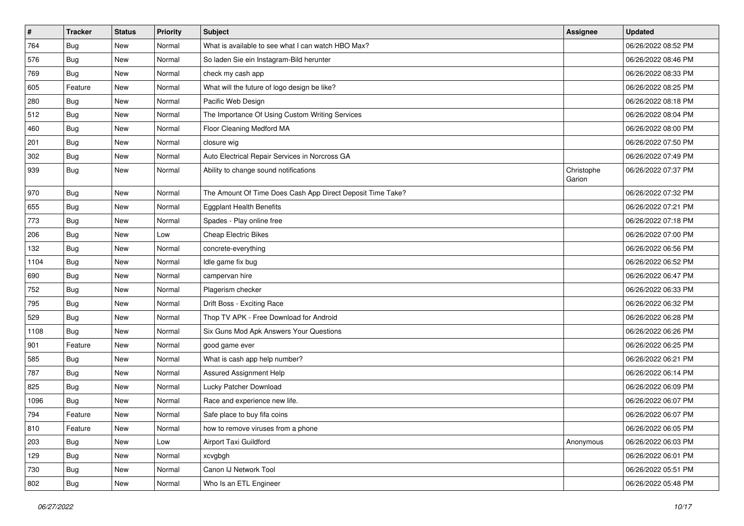| $\sharp$ | <b>Tracker</b> | <b>Status</b> | <b>Priority</b> | <b>Subject</b>                                             | <b>Assignee</b>      | <b>Updated</b>      |
|----------|----------------|---------------|-----------------|------------------------------------------------------------|----------------------|---------------------|
| 764      | <b>Bug</b>     | New           | Normal          | What is available to see what I can watch HBO Max?         |                      | 06/26/2022 08:52 PM |
| 576      | Bug            | <b>New</b>    | Normal          | So laden Sie ein Instagram-Bild herunter                   |                      | 06/26/2022 08:46 PM |
| 769      | <b>Bug</b>     | New           | Normal          | check my cash app                                          |                      | 06/26/2022 08:33 PM |
| 605      | Feature        | New           | Normal          | What will the future of logo design be like?               |                      | 06/26/2022 08:25 PM |
| 280      | <b>Bug</b>     | <b>New</b>    | Normal          | Pacific Web Design                                         |                      | 06/26/2022 08:18 PM |
| 512      | Bug            | New           | Normal          | The Importance Of Using Custom Writing Services            |                      | 06/26/2022 08:04 PM |
| 460      | Bug            | New           | Normal          | Floor Cleaning Medford MA                                  |                      | 06/26/2022 08:00 PM |
| 201      | <b>Bug</b>     | New           | Normal          | closure wig                                                |                      | 06/26/2022 07:50 PM |
| 302      | <b>Bug</b>     | New           | Normal          | Auto Electrical Repair Services in Norcross GA             |                      | 06/26/2022 07:49 PM |
| 939      | <b>Bug</b>     | New           | Normal          | Ability to change sound notifications                      | Christophe<br>Garion | 06/26/2022 07:37 PM |
| 970      | <b>Bug</b>     | New           | Normal          | The Amount Of Time Does Cash App Direct Deposit Time Take? |                      | 06/26/2022 07:32 PM |
| 655      | <b>Bug</b>     | New           | Normal          | <b>Eggplant Health Benefits</b>                            |                      | 06/26/2022 07:21 PM |
| 773      | Bug            | New           | Normal          | Spades - Play online free                                  |                      | 06/26/2022 07:18 PM |
| 206      | Bug            | New           | Low             | <b>Cheap Electric Bikes</b>                                |                      | 06/26/2022 07:00 PM |
| 132      | Bug            | New           | Normal          | concrete-everything                                        |                      | 06/26/2022 06:56 PM |
| 1104     | Bug            | New           | Normal          | Idle game fix bug                                          |                      | 06/26/2022 06:52 PM |
| 690      | Bug            | <b>New</b>    | Normal          | campervan hire                                             |                      | 06/26/2022 06:47 PM |
| 752      | Bug            | New           | Normal          | Plagerism checker                                          |                      | 06/26/2022 06:33 PM |
| 795      | <b>Bug</b>     | New           | Normal          | Drift Boss - Exciting Race                                 |                      | 06/26/2022 06:32 PM |
| 529      | Bug            | New           | Normal          | Thop TV APK - Free Download for Android                    |                      | 06/26/2022 06:28 PM |
| 1108     | <b>Bug</b>     | New           | Normal          | Six Guns Mod Apk Answers Your Questions                    |                      | 06/26/2022 06:26 PM |
| 901      | Feature        | New           | Normal          | good game ever                                             |                      | 06/26/2022 06:25 PM |
| 585      | <b>Bug</b>     | New           | Normal          | What is cash app help number?                              |                      | 06/26/2022 06:21 PM |
| 787      | Bug            | New           | Normal          | Assured Assignment Help                                    |                      | 06/26/2022 06:14 PM |
| 825      | <b>Bug</b>     | New           | Normal          | Lucky Patcher Download                                     |                      | 06/26/2022 06:09 PM |
| 1096     | <b>Bug</b>     | New           | Normal          | Race and experience new life.                              |                      | 06/26/2022 06:07 PM |
| 794      | Feature        | New           | Normal          | Safe place to buy fifa coins                               |                      | 06/26/2022 06:07 PM |
| 810      | Feature        | New           | Normal          | how to remove viruses from a phone                         |                      | 06/26/2022 06:05 PM |
| 203      | Bug            | New           | Low             | Airport Taxi Guildford                                     | Anonymous            | 06/26/2022 06:03 PM |
| 129      | Bug            | New           | Normal          | xcvgbgh                                                    |                      | 06/26/2022 06:01 PM |
| 730      | Bug            | New           | Normal          | Canon IJ Network Tool                                      |                      | 06/26/2022 05:51 PM |
| 802      | <b>Bug</b>     | New           | Normal          | Who Is an ETL Engineer                                     |                      | 06/26/2022 05:48 PM |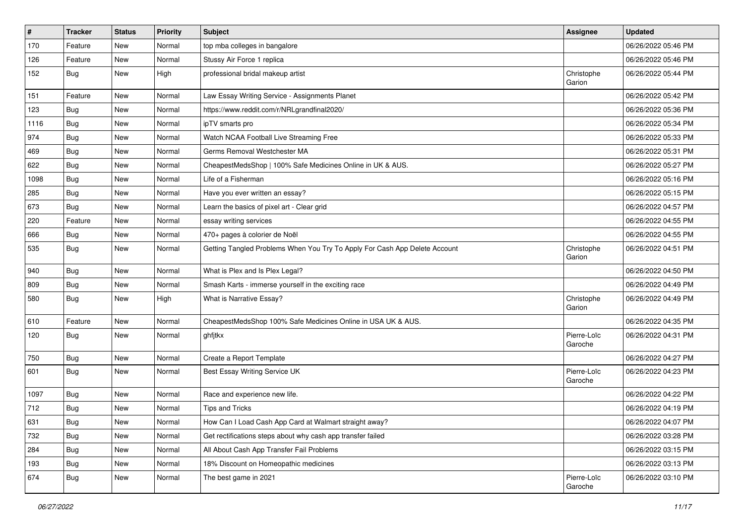| $\vert$ # | <b>Tracker</b> | <b>Status</b> | <b>Priority</b> | <b>Subject</b>                                                             | Assignee               | <b>Updated</b>      |
|-----------|----------------|---------------|-----------------|----------------------------------------------------------------------------|------------------------|---------------------|
| 170       | Feature        | New           | Normal          | top mba colleges in bangalore                                              |                        | 06/26/2022 05:46 PM |
| 126       | Feature        | New           | Normal          | Stussy Air Force 1 replica                                                 |                        | 06/26/2022 05:46 PM |
| 152       | Bug            | New           | High            | professional bridal makeup artist                                          | Christophe<br>Garion   | 06/26/2022 05:44 PM |
| 151       | Feature        | New           | Normal          | Law Essay Writing Service - Assignments Planet                             |                        | 06/26/2022 05:42 PM |
| 123       | Bug            | New           | Normal          | https://www.reddit.com/r/NRLgrandfinal2020/                                |                        | 06/26/2022 05:36 PM |
| 1116      | Bug            | New           | Normal          | ipTV smarts pro                                                            |                        | 06/26/2022 05:34 PM |
| 974       | Bug            | New           | Normal          | Watch NCAA Football Live Streaming Free                                    |                        | 06/26/2022 05:33 PM |
| 469       | Bug            | New           | Normal          | Germs Removal Westchester MA                                               |                        | 06/26/2022 05:31 PM |
| 622       | Bug            | <b>New</b>    | Normal          | CheapestMedsShop   100% Safe Medicines Online in UK & AUS.                 |                        | 06/26/2022 05:27 PM |
| 1098      | Bug            | New           | Normal          | Life of a Fisherman                                                        |                        | 06/26/2022 05:16 PM |
| 285       | Bug            | New           | Normal          | Have you ever written an essay?                                            |                        | 06/26/2022 05:15 PM |
| 673       | Bug            | New           | Normal          | Learn the basics of pixel art - Clear grid                                 |                        | 06/26/2022 04:57 PM |
| 220       | Feature        | New           | Normal          | essay writing services                                                     |                        | 06/26/2022 04:55 PM |
| 666       | <b>Bug</b>     | New           | Normal          | 470+ pages à colorier de Noël                                              |                        | 06/26/2022 04:55 PM |
| 535       | <b>Bug</b>     | New           | Normal          | Getting Tangled Problems When You Try To Apply For Cash App Delete Account | Christophe<br>Garion   | 06/26/2022 04:51 PM |
| 940       | Bug            | New           | Normal          | What is Plex and Is Plex Legal?                                            |                        | 06/26/2022 04:50 PM |
| 809       | Bug            | New           | Normal          | Smash Karts - immerse yourself in the exciting race                        |                        | 06/26/2022 04:49 PM |
| 580       | <b>Bug</b>     | New           | High            | What is Narrative Essay?                                                   | Christophe<br>Garion   | 06/26/2022 04:49 PM |
| 610       | Feature        | New           | Normal          | CheapestMedsShop 100% Safe Medicines Online in USA UK & AUS.               |                        | 06/26/2022 04:35 PM |
| 120       | Bug            | New           | Normal          | ghfjtkx                                                                    | Pierre-Loïc<br>Garoche | 06/26/2022 04:31 PM |
| 750       | Bug            | New           | Normal          | Create a Report Template                                                   |                        | 06/26/2022 04:27 PM |
| 601       | <b>Bug</b>     | New           | Normal          | Best Essay Writing Service UK                                              | Pierre-Loïc<br>Garoche | 06/26/2022 04:23 PM |
| 1097      | <b>Bug</b>     | New           | Normal          | Race and experience new life.                                              |                        | 06/26/2022 04:22 PM |
| 712       | Bug            | New           | Normal          | <b>Tips and Tricks</b>                                                     |                        | 06/26/2022 04:19 PM |
| 631       | Bug            | New           | Normal          | How Can I Load Cash App Card at Walmart straight away?                     |                        | 06/26/2022 04:07 PM |
| 732       | <b>Bug</b>     | New           | Normal          | Get rectifications steps about why cash app transfer failed                |                        | 06/26/2022 03:28 PM |
| 284       | Bug            | New           | Normal          | All About Cash App Transfer Fail Problems                                  |                        | 06/26/2022 03:15 PM |
| 193       | <b>Bug</b>     | New           | Normal          | 18% Discount on Homeopathic medicines                                      |                        | 06/26/2022 03:13 PM |
| 674       | <b>Bug</b>     | New           | Normal          | The best game in 2021                                                      | Pierre-Loïc<br>Garoche | 06/26/2022 03:10 PM |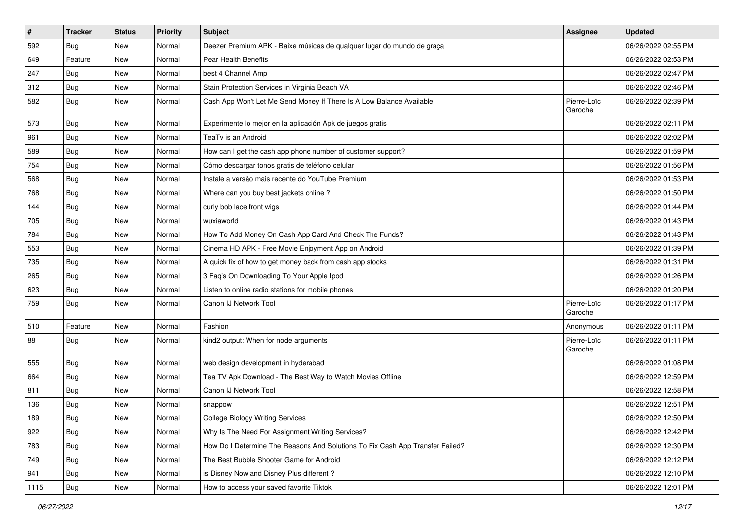| #    | <b>Tracker</b> | <b>Status</b> | <b>Priority</b> | <b>Subject</b>                                                                | <b>Assignee</b>        | <b>Updated</b>      |
|------|----------------|---------------|-----------------|-------------------------------------------------------------------------------|------------------------|---------------------|
| 592  | <b>Bug</b>     | New           | Normal          | Deezer Premium APK - Baixe músicas de qualquer lugar do mundo de graça        |                        | 06/26/2022 02:55 PM |
| 649  | Feature        | New           | Normal          | Pear Health Benefits                                                          |                        | 06/26/2022 02:53 PM |
| 247  | Bug            | New           | Normal          | best 4 Channel Amp                                                            |                        | 06/26/2022 02:47 PM |
| 312  | <b>Bug</b>     | New           | Normal          | Stain Protection Services in Virginia Beach VA                                |                        | 06/26/2022 02:46 PM |
| 582  | <b>Bug</b>     | New           | Normal          | Cash App Won't Let Me Send Money If There Is A Low Balance Available          | Pierre-Loïc<br>Garoche | 06/26/2022 02:39 PM |
| 573  | <b>Bug</b>     | New           | Normal          | Experimente lo mejor en la aplicación Apk de juegos gratis                    |                        | 06/26/2022 02:11 PM |
| 961  | Bug            | New           | Normal          | TeaTv is an Android                                                           |                        | 06/26/2022 02:02 PM |
| 589  | <b>Bug</b>     | New           | Normal          | How can I get the cash app phone number of customer support?                  |                        | 06/26/2022 01:59 PM |
| 754  | <b>Bug</b>     | New           | Normal          | Cómo descargar tonos gratis de teléfono celular                               |                        | 06/26/2022 01:56 PM |
| 568  | <b>Bug</b>     | New           | Normal          | Instale a versão mais recente do YouTube Premium                              |                        | 06/26/2022 01:53 PM |
| 768  | <b>Bug</b>     | New           | Normal          | Where can you buy best jackets online?                                        |                        | 06/26/2022 01:50 PM |
| 144  | <b>Bug</b>     | New           | Normal          | curly bob lace front wigs                                                     |                        | 06/26/2022 01:44 PM |
| 705  | <b>Bug</b>     | New           | Normal          | wuxiaworld                                                                    |                        | 06/26/2022 01:43 PM |
| 784  | <b>Bug</b>     | New           | Normal          | How To Add Money On Cash App Card And Check The Funds?                        |                        | 06/26/2022 01:43 PM |
| 553  | Bug            | New           | Normal          | Cinema HD APK - Free Movie Enjoyment App on Android                           |                        | 06/26/2022 01:39 PM |
| 735  | <b>Bug</b>     | New           | Normal          | A quick fix of how to get money back from cash app stocks                     |                        | 06/26/2022 01:31 PM |
| 265  | <b>Bug</b>     | New           | Normal          | 3 Faq's On Downloading To Your Apple Ipod                                     |                        | 06/26/2022 01:26 PM |
| 623  | <b>Bug</b>     | New           | Normal          | Listen to online radio stations for mobile phones                             |                        | 06/26/2022 01:20 PM |
| 759  | <b>Bug</b>     | New           | Normal          | Canon IJ Network Tool                                                         | Pierre-Loïc<br>Garoche | 06/26/2022 01:17 PM |
| 510  | Feature        | New           | Normal          | Fashion                                                                       | Anonymous              | 06/26/2022 01:11 PM |
| 88   | <b>Bug</b>     | New           | Normal          | kind2 output: When for node arguments                                         | Pierre-Loïc<br>Garoche | 06/26/2022 01:11 PM |
| 555  | Bug            | New           | Normal          | web design development in hyderabad                                           |                        | 06/26/2022 01:08 PM |
| 664  | <b>Bug</b>     | New           | Normal          | Tea TV Apk Download - The Best Way to Watch Movies Offline                    |                        | 06/26/2022 12:59 PM |
| 811  | <b>Bug</b>     | New           | Normal          | Canon IJ Network Tool                                                         |                        | 06/26/2022 12:58 PM |
| 136  | <b>Bug</b>     | New           | Normal          | snappow                                                                       |                        | 06/26/2022 12:51 PM |
| 189  | <b>Bug</b>     | New           | Normal          | <b>College Biology Writing Services</b>                                       |                        | 06/26/2022 12:50 PM |
| 922  | <b>Bug</b>     | New           | Normal          | Why Is The Need For Assignment Writing Services?                              |                        | 06/26/2022 12:42 PM |
| 783  | <b>Bug</b>     | New           | Normal          | How Do I Determine The Reasons And Solutions To Fix Cash App Transfer Failed? |                        | 06/26/2022 12:30 PM |
| 749  | <b>Bug</b>     | New           | Normal          | The Best Bubble Shooter Game for Android                                      |                        | 06/26/2022 12:12 PM |
| 941  | <b>Bug</b>     | New           | Normal          | is Disney Now and Disney Plus different?                                      |                        | 06/26/2022 12:10 PM |
| 1115 | <b>Bug</b>     | New           | Normal          | How to access your saved favorite Tiktok                                      |                        | 06/26/2022 12:01 PM |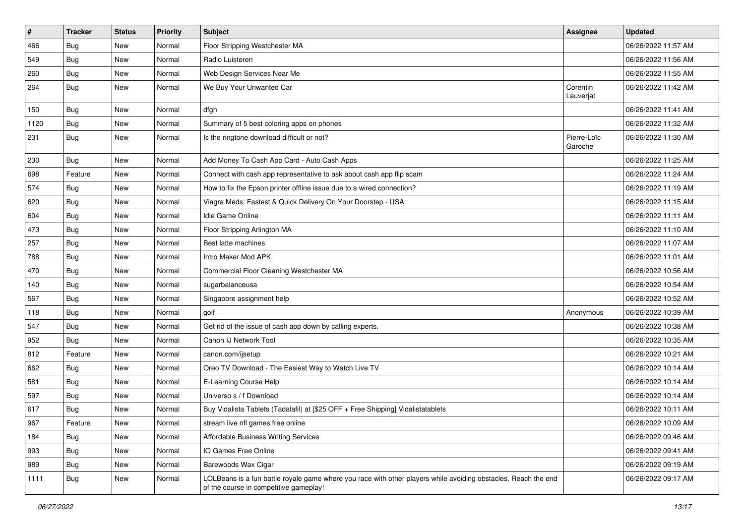| $\vert$ # | <b>Tracker</b> | <b>Status</b> | <b>Priority</b> | <b>Subject</b>                                                                                                                                           | Assignee               | <b>Updated</b>      |
|-----------|----------------|---------------|-----------------|----------------------------------------------------------------------------------------------------------------------------------------------------------|------------------------|---------------------|
| 466       | <b>Bug</b>     | New           | Normal          | Floor Stripping Westchester MA                                                                                                                           |                        | 06/26/2022 11:57 AM |
| 549       | Bug            | New           | Normal          | Radio Luisteren                                                                                                                                          |                        | 06/26/2022 11:56 AM |
| 260       | Bug            | New           | Normal          | Web Design Services Near Me                                                                                                                              |                        | 06/26/2022 11:55 AM |
| 264       | <b>Bug</b>     | New           | Normal          | We Buy Your Unwanted Car                                                                                                                                 | Corentin<br>Lauverjat  | 06/26/2022 11:42 AM |
| 150       | Bug            | New           | Normal          | dfgh                                                                                                                                                     |                        | 06/26/2022 11:41 AM |
| 1120      | <b>Bug</b>     | New           | Normal          | Summary of 5 best coloring apps on phones                                                                                                                |                        | 06/26/2022 11:32 AM |
| 231       | Bug            | New           | Normal          | Is the ringtone download difficult or not?                                                                                                               | Pierre-Loïc<br>Garoche | 06/26/2022 11:30 AM |
| 230       | <b>Bug</b>     | New           | Normal          | Add Money To Cash App Card - Auto Cash Apps                                                                                                              |                        | 06/26/2022 11:25 AM |
| 698       | Feature        | New           | Normal          | Connect with cash app representative to ask about cash app flip scam                                                                                     |                        | 06/26/2022 11:24 AM |
| 574       | <b>Bug</b>     | New           | Normal          | How to fix the Epson printer offline issue due to a wired connection?                                                                                    |                        | 06/26/2022 11:19 AM |
| 620       | Bug            | New           | Normal          | Viagra Meds: Fastest & Quick Delivery On Your Doorstep - USA                                                                                             |                        | 06/26/2022 11:15 AM |
| 604       | Bug            | New           | Normal          | <b>Idle Game Online</b>                                                                                                                                  |                        | 06/26/2022 11:11 AM |
| 473       | Bug            | New           | Normal          | Floor Stripping Arlington MA                                                                                                                             |                        | 06/26/2022 11:10 AM |
| 257       | Bug            | New           | Normal          | Best latte machines                                                                                                                                      |                        | 06/26/2022 11:07 AM |
| 788       | Bug            | New           | Normal          | Intro Maker Mod APK                                                                                                                                      |                        | 06/26/2022 11:01 AM |
| 470       | <b>Bug</b>     | New           | Normal          | Commercial Floor Cleaning Westchester MA                                                                                                                 |                        | 06/26/2022 10:56 AM |
| 140       | <b>Bug</b>     | New           | Normal          | sugarbalanceusa                                                                                                                                          |                        | 06/26/2022 10:54 AM |
| 567       | <b>Bug</b>     | New           | Normal          | Singapore assignment help                                                                                                                                |                        | 06/26/2022 10:52 AM |
| 118       | Bug            | New           | Normal          | golf                                                                                                                                                     | Anonymous              | 06/26/2022 10:39 AM |
| 547       | Bug            | New           | Normal          | Get rid of the issue of cash app down by calling experts.                                                                                                |                        | 06/26/2022 10:38 AM |
| 952       | <b>Bug</b>     | New           | Normal          | Canon IJ Network Tool                                                                                                                                    |                        | 06/26/2022 10:35 AM |
| 812       | Feature        | New           | Normal          | canon.com/ijsetup                                                                                                                                        |                        | 06/26/2022 10:21 AM |
| 662       | <b>Bug</b>     | New           | Normal          | Oreo TV Download - The Easiest Way to Watch Live TV                                                                                                      |                        | 06/26/2022 10:14 AM |
| 581       | Bug            | New           | Normal          | E-Learning Course Help                                                                                                                                   |                        | 06/26/2022 10:14 AM |
| 597       | Bug            | New           | Normal          | Universo s / f Download                                                                                                                                  |                        | 06/26/2022 10:14 AM |
| 617       | Bug            | New           | Normal          | Buy Vidalista Tablets (Tadalafil) at [\$25 OFF + Free Shipping] Vidalistatablets                                                                         |                        | 06/26/2022 10:11 AM |
| 967       | Feature        | New           | Normal          | stream live nfl games free online                                                                                                                        |                        | 06/26/2022 10:09 AM |
| 184       | <b>Bug</b>     | New           | Normal          | <b>Affordable Business Writing Services</b>                                                                                                              |                        | 06/26/2022 09:46 AM |
| 993       | <b>Bug</b>     | New           | Normal          | IO Games Free Online                                                                                                                                     |                        | 06/26/2022 09:41 AM |
| 989       | Bug            | New           | Normal          | Barewoods Wax Cigar                                                                                                                                      |                        | 06/26/2022 09:19 AM |
| 1111      | Bug            | New           | Normal          | LOLBeans is a fun battle royale game where you race with other players while avoiding obstacles. Reach the end<br>of the course in competitive gameplay! |                        | 06/26/2022 09:17 AM |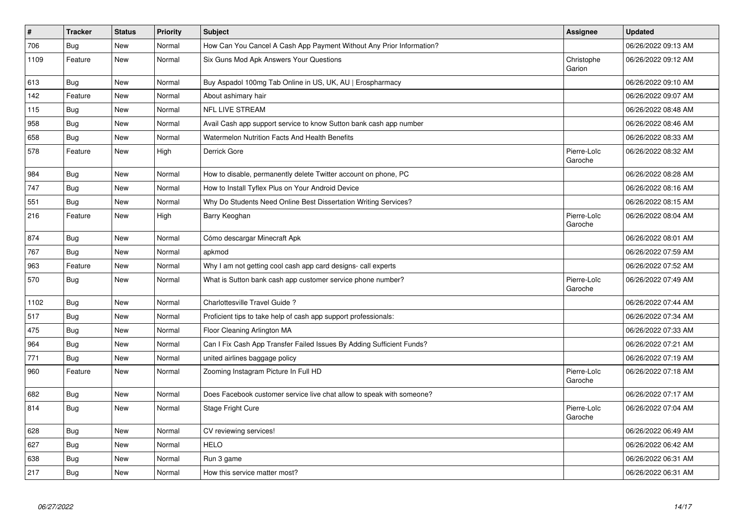| $\pmb{\#}$ | <b>Tracker</b> | <b>Status</b> | <b>Priority</b> | <b>Subject</b>                                                        | Assignee               | <b>Updated</b>      |
|------------|----------------|---------------|-----------------|-----------------------------------------------------------------------|------------------------|---------------------|
| 706        | Bug            | <b>New</b>    | Normal          | How Can You Cancel A Cash App Payment Without Any Prior Information?  |                        | 06/26/2022 09:13 AM |
| 1109       | Feature        | <b>New</b>    | Normal          | Six Guns Mod Apk Answers Your Questions                               | Christophe<br>Garion   | 06/26/2022 09:12 AM |
| 613        | <b>Bug</b>     | <b>New</b>    | Normal          | Buy Aspadol 100mg Tab Online in US, UK, AU   Erospharmacy             |                        | 06/26/2022 09:10 AM |
| 142        | Feature        | <b>New</b>    | Normal          | About ashimary hair                                                   |                        | 06/26/2022 09:07 AM |
| 115        | Bug            | New           | Normal          | <b>NFL LIVE STREAM</b>                                                |                        | 06/26/2022 08:48 AM |
| 958        | <b>Bug</b>     | <b>New</b>    | Normal          | Avail Cash app support service to know Sutton bank cash app number    |                        | 06/26/2022 08:46 AM |
| 658        | <b>Bug</b>     | <b>New</b>    | Normal          | Watermelon Nutrition Facts And Health Benefits                        |                        | 06/26/2022 08:33 AM |
| 578        | Feature        | New           | High            | Derrick Gore                                                          | Pierre-Loïc<br>Garoche | 06/26/2022 08:32 AM |
| 984        | Bug            | <b>New</b>    | Normal          | How to disable, permanently delete Twitter account on phone, PC       |                        | 06/26/2022 08:28 AM |
| 747        | Bug            | <b>New</b>    | Normal          | How to Install Tyflex Plus on Your Android Device                     |                        | 06/26/2022 08:16 AM |
| 551        | Bug            | <b>New</b>    | Normal          | Why Do Students Need Online Best Dissertation Writing Services?       |                        | 06/26/2022 08:15 AM |
| 216        | Feature        | New           | High            | Barry Keoghan                                                         | Pierre-Loïc<br>Garoche | 06/26/2022 08:04 AM |
| 874        | Bug            | <b>New</b>    | Normal          | Cómo descargar Minecraft Apk                                          |                        | 06/26/2022 08:01 AM |
| 767        | <b>Bug</b>     | <b>New</b>    | Normal          | apkmod                                                                |                        | 06/26/2022 07:59 AM |
| 963        | Feature        | New           | Normal          | Why I am not getting cool cash app card designs- call experts         |                        | 06/26/2022 07:52 AM |
| 570        | <b>Bug</b>     | New           | Normal          | What is Sutton bank cash app customer service phone number?           | Pierre-Loïc<br>Garoche | 06/26/2022 07:49 AM |
| 1102       | Bug            | <b>New</b>    | Normal          | Charlottesville Travel Guide?                                         |                        | 06/26/2022 07:44 AM |
| 517        | Bug            | New           | Normal          | Proficient tips to take help of cash app support professionals:       |                        | 06/26/2022 07:34 AM |
| 475        | <b>Bug</b>     | New           | Normal          | Floor Cleaning Arlington MA                                           |                        | 06/26/2022 07:33 AM |
| 964        | Bug            | <b>New</b>    | Normal          | Can I Fix Cash App Transfer Failed Issues By Adding Sufficient Funds? |                        | 06/26/2022 07:21 AM |
| 771        | <b>Bug</b>     | <b>New</b>    | Normal          | united airlines baggage policy                                        |                        | 06/26/2022 07:19 AM |
| 960        | Feature        | New           | Normal          | Zooming Instagram Picture In Full HD                                  | Pierre-Loïc<br>Garoche | 06/26/2022 07:18 AM |
| 682        | Bug            | <b>New</b>    | Normal          | Does Facebook customer service live chat allow to speak with someone? |                        | 06/26/2022 07:17 AM |
| 814        | Bug            | New           | Normal          | Stage Fright Cure                                                     | Pierre-Loïc<br>Garoche | 06/26/2022 07:04 AM |
| 628        | Bug            | <b>New</b>    | Normal          | CV reviewing services!                                                |                        | 06/26/2022 06:49 AM |
| 627        | <b>Bug</b>     | New           | Normal          | <b>HELO</b>                                                           |                        | 06/26/2022 06:42 AM |
| 638        | Bug            | <b>New</b>    | Normal          | Run 3 game                                                            |                        | 06/26/2022 06:31 AM |
| 217        | <b>Bug</b>     | <b>New</b>    | Normal          | How this service matter most?                                         |                        | 06/26/2022 06:31 AM |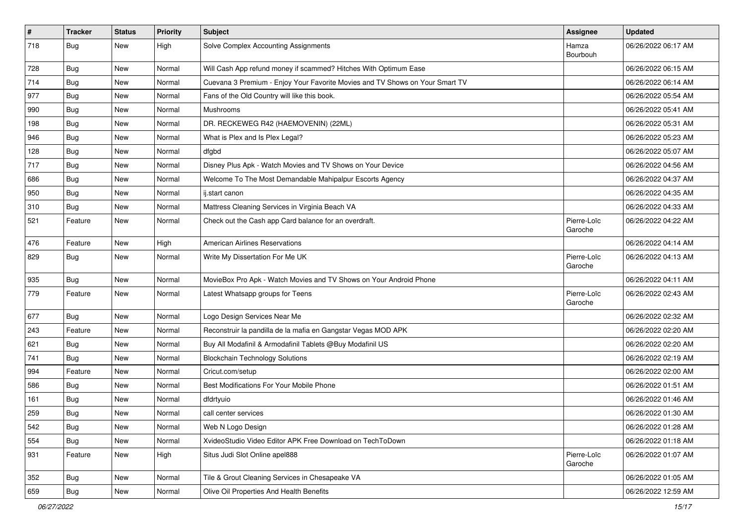| $\vert$ # | <b>Tracker</b> | <b>Status</b> | <b>Priority</b> | <b>Subject</b>                                                               | Assignee               | <b>Updated</b>      |
|-----------|----------------|---------------|-----------------|------------------------------------------------------------------------------|------------------------|---------------------|
| 718       | <b>Bug</b>     | New           | High            | Solve Complex Accounting Assignments                                         | Hamza<br>Bourbouh      | 06/26/2022 06:17 AM |
| 728       | <b>Bug</b>     | New           | Normal          | Will Cash App refund money if scammed? Hitches With Optimum Ease             |                        | 06/26/2022 06:15 AM |
| 714       | <b>Bug</b>     | <b>New</b>    | Normal          | Cuevana 3 Premium - Enjoy Your Favorite Movies and TV Shows on Your Smart TV |                        | 06/26/2022 06:14 AM |
| 977       | <b>Bug</b>     | New           | Normal          | Fans of the Old Country will like this book.                                 |                        | 06/26/2022 05:54 AM |
| 990       | Bug            | New           | Normal          | <b>Mushrooms</b>                                                             |                        | 06/26/2022 05:41 AM |
| 198       | <b>Bug</b>     | New           | Normal          | DR. RECKEWEG R42 (HAEMOVENIN) (22ML)                                         |                        | 06/26/2022 05:31 AM |
| 946       | <b>Bug</b>     | New           | Normal          | What is Plex and Is Plex Legal?                                              |                        | 06/26/2022 05:23 AM |
| 128       | <b>Bug</b>     | New           | Normal          | dfgbd                                                                        |                        | 06/26/2022 05:07 AM |
| 717       | <b>Bug</b>     | New           | Normal          | Disney Plus Apk - Watch Movies and TV Shows on Your Device                   |                        | 06/26/2022 04:56 AM |
| 686       | Bug            | New           | Normal          | Welcome To The Most Demandable Mahipalpur Escorts Agency                     |                        | 06/26/2022 04:37 AM |
| 950       | <b>Bug</b>     | New           | Normal          | ij.start canon                                                               |                        | 06/26/2022 04:35 AM |
| 310       | Bug            | New           | Normal          | Mattress Cleaning Services in Virginia Beach VA                              |                        | 06/26/2022 04:33 AM |
| 521       | Feature        | New           | Normal          | Check out the Cash app Card balance for an overdraft.                        | Pierre-Loïc<br>Garoche | 06/26/2022 04:22 AM |
| 476       | Feature        | New           | High            | <b>American Airlines Reservations</b>                                        |                        | 06/26/2022 04:14 AM |
| 829       | <b>Bug</b>     | New           | Normal          | Write My Dissertation For Me UK                                              | Pierre-Loïc<br>Garoche | 06/26/2022 04:13 AM |
| 935       | Bug            | New           | Normal          | MovieBox Pro Apk - Watch Movies and TV Shows on Your Android Phone           |                        | 06/26/2022 04:11 AM |
| 779       | Feature        | New           | Normal          | Latest Whatsapp groups for Teens                                             | Pierre-Loïc<br>Garoche | 06/26/2022 02:43 AM |
| 677       | Bug            | New           | Normal          | Logo Design Services Near Me                                                 |                        | 06/26/2022 02:32 AM |
| 243       | Feature        | New           | Normal          | Reconstruir la pandilla de la mafia en Gangstar Vegas MOD APK                |                        | 06/26/2022 02:20 AM |
| 621       | <b>Bug</b>     | New           | Normal          | Buy All Modafinil & Armodafinil Tablets @Buy Modafinil US                    |                        | 06/26/2022 02:20 AM |
| 741       | <b>Bug</b>     | New           | Normal          | <b>Blockchain Technology Solutions</b>                                       |                        | 06/26/2022 02:19 AM |
| 994       | Feature        | New           | Normal          | Cricut.com/setup                                                             |                        | 06/26/2022 02:00 AM |
| 586       | <b>Bug</b>     | New           | Normal          | Best Modifications For Your Mobile Phone                                     |                        | 06/26/2022 01:51 AM |
| 161       | Bug            | New           | Normal          | dfdrtyuio                                                                    |                        | 06/26/2022 01:46 AM |
| 259       | <b>Bug</b>     | New           | Normal          | call center services                                                         |                        | 06/26/2022 01:30 AM |
| 542       | <b>Bug</b>     | New           | Normal          | Web N Logo Design                                                            |                        | 06/26/2022 01:28 AM |
| 554       | <b>Bug</b>     | New           | Normal          | XvideoStudio Video Editor APK Free Download on TechToDown                    |                        | 06/26/2022 01:18 AM |
| 931       | Feature        | New           | High            | Situs Judi Slot Online apel888                                               | Pierre-Loïc<br>Garoche | 06/26/2022 01:07 AM |
| 352       | <b>Bug</b>     | New           | Normal          | Tile & Grout Cleaning Services in Chesapeake VA                              |                        | 06/26/2022 01:05 AM |
| 659       | <b>Bug</b>     | New           | Normal          | Olive Oil Properties And Health Benefits                                     |                        | 06/26/2022 12:59 AM |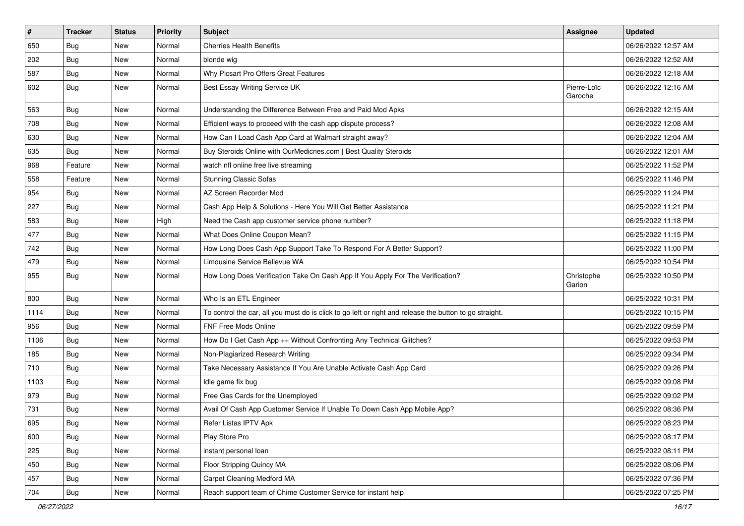| $\vert$ # | <b>Tracker</b> | <b>Status</b> | <b>Priority</b> | <b>Subject</b>                                                                                          | Assignee               | <b>Updated</b>      |
|-----------|----------------|---------------|-----------------|---------------------------------------------------------------------------------------------------------|------------------------|---------------------|
| 650       | <b>Bug</b>     | New           | Normal          | <b>Cherries Health Benefits</b>                                                                         |                        | 06/26/2022 12:57 AM |
| 202       | <b>Bug</b>     | New           | Normal          | blonde wig                                                                                              |                        | 06/26/2022 12:52 AM |
| 587       | Bug            | New           | Normal          | Why Picsart Pro Offers Great Features                                                                   |                        | 06/26/2022 12:18 AM |
| 602       | <b>Bug</b>     | New           | Normal          | Best Essay Writing Service UK                                                                           | Pierre-Loïc<br>Garoche | 06/26/2022 12:16 AM |
| 563       | <b>Bug</b>     | New           | Normal          | Understanding the Difference Between Free and Paid Mod Apks                                             |                        | 06/26/2022 12:15 AM |
| 708       | Bug            | New           | Normal          | Efficient ways to proceed with the cash app dispute process?                                            |                        | 06/26/2022 12:08 AM |
| 630       | Bug            | New           | Normal          | How Can I Load Cash App Card at Walmart straight away?                                                  |                        | 06/26/2022 12:04 AM |
| 635       | <b>Bug</b>     | New           | Normal          | Buy Steroids Online with OurMedicnes.com   Best Quality Steroids                                        |                        | 06/26/2022 12:01 AM |
| 968       | Feature        | <b>New</b>    | Normal          | watch nfl online free live streaming                                                                    |                        | 06/25/2022 11:52 PM |
| 558       | Feature        | New           | Normal          | <b>Stunning Classic Sofas</b>                                                                           |                        | 06/25/2022 11:46 PM |
| 954       | <b>Bug</b>     | New           | Normal          | AZ Screen Recorder Mod                                                                                  |                        | 06/25/2022 11:24 PM |
| 227       | Bug            | New           | Normal          | Cash App Help & Solutions - Here You Will Get Better Assistance                                         |                        | 06/25/2022 11:21 PM |
| 583       | Bug            | New           | High            | Need the Cash app customer service phone number?                                                        |                        | 06/25/2022 11:18 PM |
| 477       | Bug            | New           | Normal          | What Does Online Coupon Mean?                                                                           |                        | 06/25/2022 11:15 PM |
| 742       | <b>Bug</b>     | New           | Normal          | How Long Does Cash App Support Take To Respond For A Better Support?                                    |                        | 06/25/2022 11:00 PM |
| 479       | <b>Bug</b>     | <b>New</b>    | Normal          | Limousine Service Bellevue WA                                                                           |                        | 06/25/2022 10:54 PM |
| 955       | <b>Bug</b>     | New           | Normal          | How Long Does Verification Take On Cash App If You Apply For The Verification?                          | Christophe<br>Garion   | 06/25/2022 10:50 PM |
| 800       | Bug            | New           | Normal          | Who Is an ETL Engineer                                                                                  |                        | 06/25/2022 10:31 PM |
| 1114      | Bug            | New           | Normal          | To control the car, all you must do is click to go left or right and release the button to go straight. |                        | 06/25/2022 10:15 PM |
| 956       | Bug            | New           | Normal          | FNF Free Mods Online                                                                                    |                        | 06/25/2022 09:59 PM |
| 1106      | Bug            | New           | Normal          | How Do I Get Cash App ++ Without Confronting Any Technical Glitches?                                    |                        | 06/25/2022 09:53 PM |
| 185       | <b>Bug</b>     | New           | Normal          | Non-Plagiarized Research Writing                                                                        |                        | 06/25/2022 09:34 PM |
| 710       | <b>Bug</b>     | New           | Normal          | Take Necessary Assistance If You Are Unable Activate Cash App Card                                      |                        | 06/25/2022 09:26 PM |
| 1103      | Bug            | <b>New</b>    | Normal          | Idle game fix bug                                                                                       |                        | 06/25/2022 09:08 PM |
| 979       | <b>Bug</b>     | New           | Normal          | Free Gas Cards for the Unemployed                                                                       |                        | 06/25/2022 09:02 PM |
| 731       | <b>Bug</b>     | New           | Normal          | Avail Of Cash App Customer Service If Unable To Down Cash App Mobile App?                               |                        | 06/25/2022 08:36 PM |
| 695       | Bug            | New           | Normal          | Refer Listas IPTV Apk                                                                                   |                        | 06/25/2022 08:23 PM |
| 600       | Bug            | New           | Normal          | Play Store Pro                                                                                          |                        | 06/25/2022 08:17 PM |
| 225       | Bug            | New           | Normal          | instant personal loan                                                                                   |                        | 06/25/2022 08:11 PM |
| 450       | <b>Bug</b>     | New           | Normal          | Floor Stripping Quincy MA                                                                               |                        | 06/25/2022 08:06 PM |
| 457       | <b>Bug</b>     | New           | Normal          | <b>Carpet Cleaning Medford MA</b>                                                                       |                        | 06/25/2022 07:36 PM |
| 704       | Bug            | New           | Normal          | Reach support team of Chime Customer Service for instant help                                           |                        | 06/25/2022 07:25 PM |